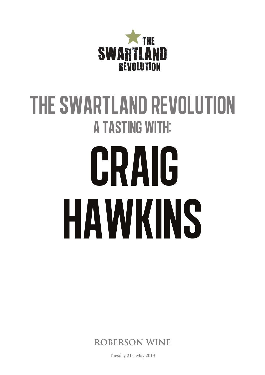

# THE SWARTLAND REVOLUTION **A TASTING WITH:** CRAIG HAWKINS

ROBERSON WINE

Tuesday 21st May 2013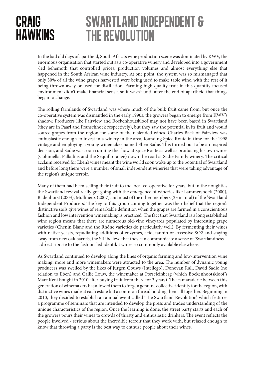## craig **HAWKINS**

#### swartland independent & the revolution

In the bad old days of apartheid, South Africa's wine production scene was dominated by KWV, the enormous organisation that started out as a co-operative winery and developed into a government -led behemoth that controlled prices, production volumes and almost everything else that happened in the South African wine industry. At one point, the system was so mismanaged that only 30% of all the wine grapes harvested were being used to make table wine, with the rest of it being thrown away or used for distillation. Farming high quality fruit in this quantity focused environment didn't make financial sense, so it wasn't until after the end of apartheid that things began to change.

The rolling farmlands of Swartland was where much of the bulk fruit came from, but once the co-operative system was dismantled in the early 1990s, the growers began to emerge from KWV's shadow. Producers like Fairview and Boekenhoutskloof may not have been based in Swartland (they are in Paarl and Franschhoek respectively), but they saw the potential in its fruit and would source grapes from the region for some of their blended wines. Charles Back of Fairview was enthusiastic enough to invest in a winery in the area, founding Spice Route in time for the 1998 vintage and employing a young winemaker named Eben Sadie. This turned out to be an inspired decision, and Sadie was soon running the show at Spice Route as well as producing his own wines (Columella, Palladius and the Sequillo range) down the road at Sadie Family winery. The critical acclaim received for Eben's wines meant the wine world soon woke up to the potential of Swartland and before long there were a number of small independent wineries that were taking advantage of the region's unique terroir.

Many of them had been selling their fruit to the local co-operative for years, but in the noughties the Swartland revival really got going with the emergence of wineries like Lammershoek (2000), Badenhorst (2003), Mullineux (2007) and most of the other members (23 in total) of the 'Swartland Independent Producers'. The key to this group coming together was their belief that the region's distinctive soils give wines of remarkable definition when the grapes are farmed in a conscientious fashion and low intervention winemaking is practiced. The fact that Swartland is a long established wine region means that there are numerous old-vine vineyards populated by interesting grape varieties (Chenin Blanc and the Rhône varieties do particularly well). By fermenting their wines with native yeasts, repudiating additions of enzymes, acid, tannin or excessive SO2 and staying away from new oak barrels, the SIP believe that they can communicate a sense of 'Swartlandness' a direct riposte to the fashion-led identikit wines so commonly available elsewhere.

As Swartland continued to develop along the lines of organic farming and low-intervention wine making, more and more winemakers were attracted to the area. The number of dynamic young producers was swelled by the likes of Jurgen Gouws (Intellego), Donovan Rall, David Sadie (no relation to Eben) and Callie Louw, the winemaker at Porseleinberg (which Boekenhootskloof's Marc Kent bought in 2010 after buying fruit from there for 3 years). The camaraderie between this generation of winemakers has allowed them to forge a genuine collective identity for the region, with distinctive wines made at each estate but a common thread holding them all together. Beginning in 2010, they decided to establish an annual event called 'The Swartland Revolution', which features a programme of seminars that are intended to develop the press and trade's understanding of the unique characteristics of the region. Once the learning is done, the street party starts and each of the growers pours their wines to crowds of thirsty and enthusiastic drinkers. The event reflects the people involved - serious about the incredible terroir that they work with, but relaxed enough to know that throwing a party is the best way to enthuse people about their wines.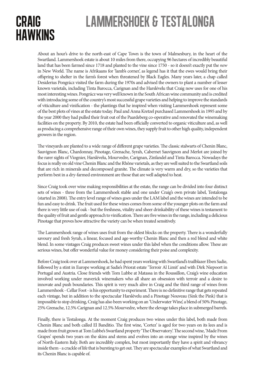## craig **HAWKINS**

# lammershoek & testalonga

About an hour's drive to the north-east of Cape Town is the town of Malmesbury, in the heart of the Swartland. Lammershoek estate is about 10 miles from there, occupying 96 hectares of incredibly beautiful land that has been farmed since 1718 and planted to the vine since 1750 - so it doesn't exactly put the *new* in New World. The name is Afrikaans for 'lamb's corner', as legend has it that the ewes would bring their offspring to shelter in the farm's forest when threatened by Black Eagles. Many years later, a chap called Desiderius Pongrácz visited the farm during the 1970s and advised the owners to plant a number of lesser known varietals, including Tinta Barocca, Carignan and the Harslévelu that Craig now uses for one of his most interesting wines. Pongrácz was very well known in the South African wine community and is credited with introducing some of the country's most successful grape varieties and helping to improve the standards of viticulture and vinification - the plantings that he inspired when visiting Lammershoek represent some of the best plots of vines at the estate today. Paul and Anna Kretzel purchased Lammershoek in 1995 and by the year 2000 they had pulled their fruit out of the Paardeberg co-operative and renovated the winemaking facilities on the property. By 2010, the estate had been officially converted to organic viticulture and, as well as producing a comprehensive range of their own wines, they supply fruit to other high quality, independent growers in the region.

The vineyards are planted to a wide range of different grape varieties. The classic stalwarts of Chenin Blanc, Sauvignon Blanc, Chardonnay, Pinotage, Grenache, Syrah, Cabernet Sauvignon and Merlot are joined by the rarer sights of Viognier, Harslévelu, Mourvedre, Carignan, Zinfandel and Tinta Barocca. Nowadays the focus is really on old vine Chenin Blanc and the Rhône varietals, as they are well suited to the Swartland soils that are rich in minerals and decomposed granite. The climate is very warm and dry, so the varieties that perform best in a dry-farmed environment are those that are well adapted to heat.

Since Craig took over wine making responsibilities at the estate, the range can be divided into four distinct sets of wines - three from the Lammershoek stable and one under Craig's own private label, Testalonga (started in 2008). The entry level range of wines goes under the LAM label and the wines are intended to be fun and easy to drink. The fruit used for these wines comes from some of the younger plots on the farm and there is very little use of oak - but the freshness, vitality and sheer drinkability of these wines is testament to the quality of fruit and gentle approach to vinification. There are five wines in the range, including a delicious Pinotage that proves how attractive the variety can be when treated sensitively.

The Lammershoek range of wines uses fruit from the oldest blocks on the property. There is a wonderfully savoury and fresh Syrah, a linear, focused and age-worthy Chenin Blanc and then a red blend and white blend. In some vintages Craig produces sweet wines under this label when the conditions allow. These are serious wines, but offer wonderful value for money considering their poise and complexity.

Before Craig took over at Lammershoek, he had spent years working with Swartland's trailblazer Eben Sadie, followed by a stint in Europe working at Sadie's Priorat estate 'Terroir Al Limit' and with Dirk Niepoort in Portugal and Austria. Close friends with Tom Lubbe at Matassa in the Roussillon, Craig's wine education involved working under maverick winemakers who all share an obsession with terroir and a desire to innovate and push boundaries. This spirit is very much alive in Craig and the third range of wines from Lammershoek - Cellar Foot - is his opportunity to experiment. There is no definitive range that gets repeated each vintage, but in addition to the spectacular Harslévelu and a Pinotage Nouveau (Sink the Pink) that is impossible to stop drinking, Craig has also been working on an 'Underwater Wine', a blend of 50% Pinotage, 25% Grenache, 12.5% Carignan and 12.5% Mourvedre, where the elevage takes place in submerged barrels.

Finally, there is Testalonga. At the moment Craig produces two wines under this label, both made from Chenin Blanc and both called El Banditio. The first wine, 'Cortez' is aged for two years on its lees and is made from fruit grown at Tom Lubbe's Swartland property 'The Observatory'. The second wine, 'Made From Grapes' spends two years on the skins and stems and evolves into an orange wine inspired by the wines of North-Eastern Italy. Both are incredibly complex, but most importantly they have a spirit and vibrancy inside them - a crackle of life that is bursting to get out. They are spectacular examples of what Swartland and its Chenin Blanc is capable of.